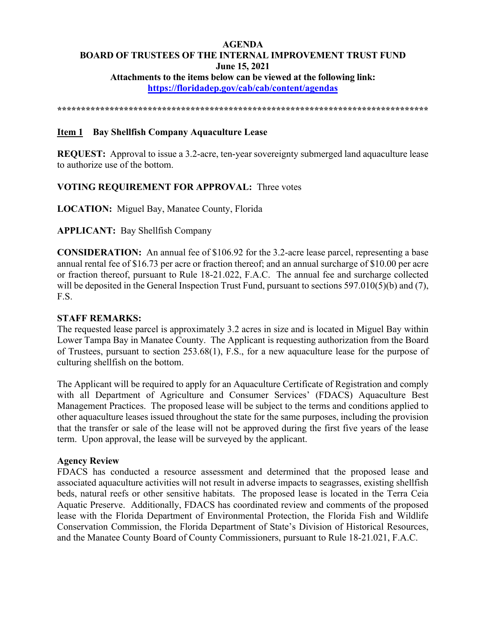# **AGENDA BOARD OF TRUSTEES OF THE INTERNAL IMPROVEMENT TRUST FUND June 15, 2021 Attachments to the items below can be viewed at the following link:**

**https://floridadep.gov/cab/cab/content/agendas**

**\*\*\*\*\*\*\*\*\*\*\*\*\*\*\*\*\*\*\*\*\*\*\*\*\*\*\*\*\*\*\*\*\*\*\*\*\*\*\*\*\*\*\*\*\*\*\*\*\*\*\*\*\*\*\*\*\*\*\*\*\*\*\*\*\*\*\*\*\*\*\*\*\*\*\*\*\*\*** 

## **Item 1 Bay Shellfish Company Aquaculture Lease**

**REQUEST:** Approval to issue a 3.2-acre, ten-year sovereignty submerged land aquaculture lease to authorize use of the bottom.

## **VOTING REQUIREMENT FOR APPROVAL:** Three votes

**LOCATION:** Miguel Bay, Manatee County, Florida

## **APPLICANT:** Bay Shellfish Company

**CONSIDERATION:** An annual fee of \$106.92 for the 3.2-acre lease parcel, representing a base annual rental fee of \$16.73 per acre or fraction thereof; and an annual surcharge of \$10.00 per acre or fraction thereof, pursuant to Rule 18-21.022, F.A.C. The annual fee and surcharge collected will be deposited in the General Inspection Trust Fund, pursuant to sections 597.010(5)(b) and (7), F.S.

## **STAFF REMARKS:**

The requested lease parcel is approximately 3.2 acres in size and is located in Miguel Bay within Lower Tampa Bay in Manatee County. The Applicant is requesting authorization from the Board of Trustees, pursuant to section 253.68(1), F.S., for a new aquaculture lease for the purpose of culturing shellfish on the bottom.

The Applicant will be required to apply for an Aquaculture Certificate of Registration and comply with all Department of Agriculture and Consumer Services' (FDACS) Aquaculture Best Management Practices. The proposed lease will be subject to the terms and conditions applied to other aquaculture leases issued throughout the state for the same purposes, including the provision that the transfer or sale of the lease will not be approved during the first five years of the lease term. Upon approval, the lease will be surveyed by the applicant.

## **Agency Review**

FDACS has conducted a resource assessment and determined that the proposed lease and associated aquaculture activities will not result in adverse impacts to seagrasses, existing shellfish beds, natural reefs or other sensitive habitats. The proposed lease is located in the Terra Ceia Aquatic Preserve. Additionally, FDACS has coordinated review and comments of the proposed lease with the Florida Department of Environmental Protection, the Florida Fish and Wildlife Conservation Commission, the Florida Department of State's Division of Historical Resources, and the Manatee County Board of County Commissioners, pursuant to Rule 18-21.021, F.A.C.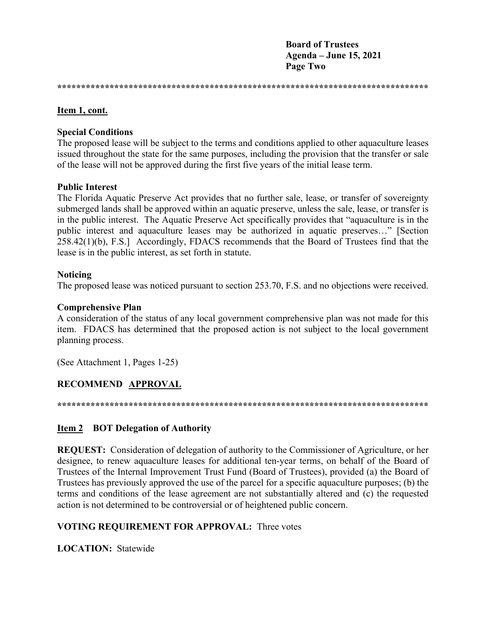**Board of Trustees** Agenda – June 15, 2021 **Page Two** 

#### Item 1, cont.

#### **Special Conditions**

The proposed lease will be subject to the terms and conditions applied to other aquaculture leases issued throughout the state for the same purposes, including the provision that the transfer or sale of the lease will not be approved during the first five years of the initial lease term.

#### **Public Interest**

The Florida Aquatic Preserve Act provides that no further sale, lease, or transfer of sovereignty submerged lands shall be approved within an aquatic preserve, unless the sale, lease, or transfer is in the public interest. The Aquatic Preserve Act specifically provides that "aquaculture is in the public interest and aquaculture leases may be authorized in aquatic preserves..." [Section 258.42(1)(b), F.S.] Accordingly, FDACS recommends that the Board of Trustees find that the lease is in the public interest, as set forth in statute.

## **Noticing**

The proposed lease was noticed pursuant to section 253.70, F.S. and no objections were received.

#### **Comprehensive Plan**

A consideration of the status of any local government comprehensive plan was not made for this item. FDACS has determined that the proposed action is not subject to the local government planning process.

(See Attachment 1, Pages 1-25)

## RECOMMEND APPROVAL

## **Item 2 BOT Delegation of Authority**

**REQUEST:** Consideration of delegation of authority to the Commissioner of Agriculture, or her designee, to renew aquaculture leases for additional ten-year terms, on behalf of the Board of Trustees of the Internal Improvement Trust Fund (Board of Trustees), provided (a) the Board of Trustees has previously approved the use of the parcel for a specific aquaculture purposes; (b) the terms and conditions of the lease agreement are not substantially altered and (c) the requested action is not determined to be controversial or of heightened public concern.

## **VOTING REOUIREMENT FOR APPROVAL: Three votes**

**LOCATION:** Statewide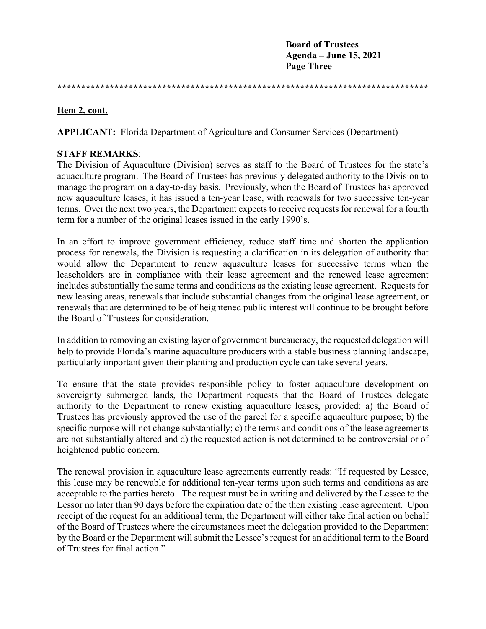**Board of Trustees Agenda – June 15, 2021 Page Three** 

**\*\*\*\*\*\*\*\*\*\*\*\*\*\*\*\*\*\*\*\*\*\*\*\*\*\*\*\*\*\*\*\*\*\*\*\*\*\*\*\*\*\*\*\*\*\*\*\*\*\*\*\*\*\*\*\*\*\*\*\*\*\*\*\*\*\*\*\*\*\*\*\*\*\*\*\*\*\*** 

## **Item 2, cont.**

**APPLICANT:** Florida Department of Agriculture and Consumer Services (Department)

## **STAFF REMARKS**:

The Division of Aquaculture (Division) serves as staff to the Board of Trustees for the state's aquaculture program. The Board of Trustees has previously delegated authority to the Division to manage the program on a day-to-day basis. Previously, when the Board of Trustees has approved new aquaculture leases, it has issued a ten-year lease, with renewals for two successive ten-year terms. Over the next two years, the Department expects to receive requests for renewal for a fourth term for a number of the original leases issued in the early 1990's.

In an effort to improve government efficiency, reduce staff time and shorten the application process for renewals, the Division is requesting a clarification in its delegation of authority that would allow the Department to renew aquaculture leases for successive terms when the leaseholders are in compliance with their lease agreement and the renewed lease agreement includes substantially the same terms and conditions as the existing lease agreement. Requests for new leasing areas, renewals that include substantial changes from the original lease agreement, or renewals that are determined to be of heightened public interest will continue to be brought before the Board of Trustees for consideration.

In addition to removing an existing layer of government bureaucracy, the requested delegation will help to provide Florida's marine aquaculture producers with a stable business planning landscape, particularly important given their planting and production cycle can take several years.

To ensure that the state provides responsible policy to foster aquaculture development on sovereignty submerged lands, the Department requests that the Board of Trustees delegate authority to the Department to renew existing aquaculture leases, provided: a) the Board of Trustees has previously approved the use of the parcel for a specific aquaculture purpose; b) the specific purpose will not change substantially; c) the terms and conditions of the lease agreements are not substantially altered and d) the requested action is not determined to be controversial or of heightened public concern.

The renewal provision in aquaculture lease agreements currently reads: "If requested by Lessee, this lease may be renewable for additional ten-year terms upon such terms and conditions as are acceptable to the parties hereto. The request must be in writing and delivered by the Lessee to the Lessor no later than 90 days before the expiration date of the then existing lease agreement. Upon receipt of the request for an additional term, the Department will either take final action on behalf of the Board of Trustees where the circumstances meet the delegation provided to the Department by the Board or the Department will submit the Lessee's request for an additional term to the Board of Trustees for final action."